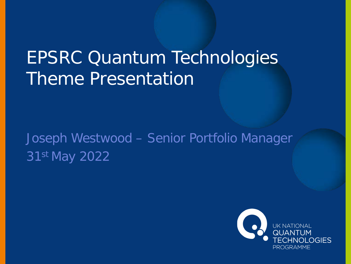# EPSRC Quantum Technologies Theme Presentation

Joseph Westwood – Senior Portfolio Manager 31st May 2022

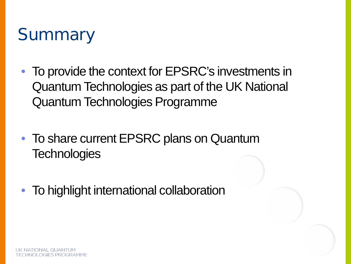# **Summary**

- To provide the context for EPSRC's investments in Quantum Technologies as part of the UK National Quantum Technologies Programme
- To share current EPSRC plans on Quantum **Technologies**
- To highlight international collaboration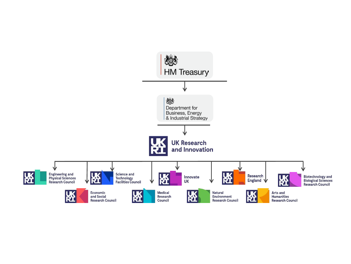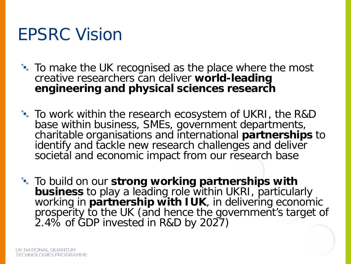### EPSRC Vision

- To make the UK recognised as the place where the most creative researchers can deliver **world-leading engineering and physical sciences research**
- To work within the research ecosystem of UKRI, the R&D base within business, SMEs, government departments, charitable organisations and international **partnerships** to identify and tackle new research challenges and deliver societal and economic impact from our research base

To build on our **strong working partnerships with business** to play a leading role within UKRI, particularly working in **partnership with IUK**, in delivering economic prosperity to the UK (and hence the government's target of 2.4% of GDP invested in R&D by 2027)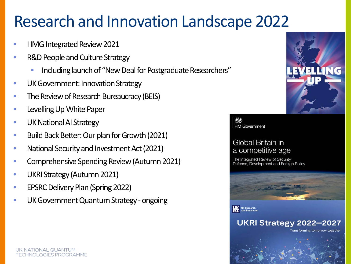#### Research and Innovation Landscape 2022

- HMG Integrated Review 2021
- R&D People and Culture Strategy
	- Including launch of "New Deal for Postgraduate Researchers"
- UK Government: Innovation Strategy
- The Review of Research Bureaucracy (BEIS)
- Levelling Up White Paper
- UK National AI Strategy
- Build Back Better: Our plan for Growth (2021)
- National Security and Investment Act (2021)
- Comprehensive Spending Review (Autumn 2021)
- UKRI Strategy (Autumn 2021)
- EPSRC Delivery Plan (Spring 2022)
- UK Government Quantum Strategy ongoing



HM Government

#### Global Britain in a competitive age

The Integrated Review of Security, Defence, Development and Foreign Policy





UKRI Strategy 2022-2027

Transforming tomorrow together

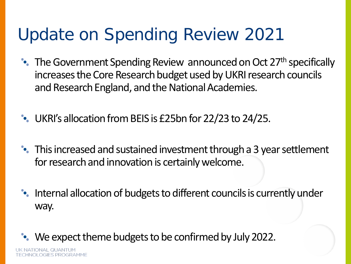# Update on Spending Review 2021

- The Government Spending Review announced on Oct 27<sup>th</sup> specifically increases the Core Research budget used by UKRI research councils and Research England, and the National Academies.
- UKRI's allocation from BEIS is £25bn for 22/23 to 24/25.
- This increased and sustained investment through a 3 year settlement for research and innovation is certainly welcome.
- Internal allocation of budgets to different councils is currently under way.

We expect theme budgets to be confirmed by July 2022.

ONAL OUANT **TECHNOLOGIES PROGRAMME**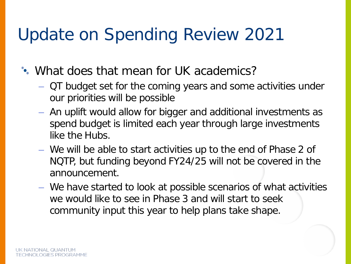# Update on Spending Review 2021

What does that mean for UK academics?

- QT budget set for the coming years and some activities under our priorities will be possible
- An uplift would allow for bigger and additional investments as spend budget is limited each year through large investments like the Hubs.
- We will be able to start activities up to the end of Phase 2 of NQTP, but funding beyond FY24/25 will not be covered in the announcement.
- We have started to look at possible scenarios of what activities we would like to see in Phase 3 and will start to seek community input this year to help plans take shape.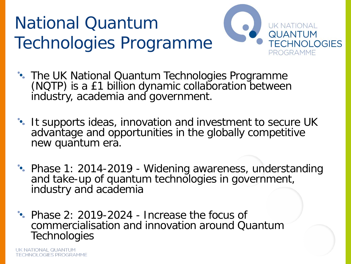# National Quantum Technologies Programme



- The UK National Quantum Technologies Programme (NQTP) is a £1 billion dynamic collaboration between industry, academia and government.
- It supports ideas, innovation and investment to secure UK advantage and opportunities in the globally competitive new quantum era.
- Phase 1: 2014-2019 Widening awareness, understanding and take-up of quantum technologies in government, industry and academia
- Phase 2: 2019-2024 Increase the focus of commercialisation and innovation around Quantum **Technologies**

UK NATIONAL QUANTUM **TECHNOLOGIES PROGRAMME**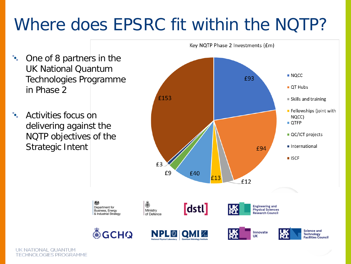# Where does EPSRC fit within the NQTP?

- $\mathcal{P}_{\mathbf{e}_n}$ One of 8 partners in the UK National Quantum Technologies Programme in Phase 2
- $\mathbf{e}_\mathrm{a}$ Activities focus on delivering against the NQTP objectives of the Strategic Intent





















**UK NATIONAL QUANTUM TECHNOLOGIES PROGRAMME**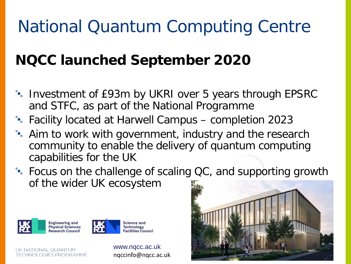# National Quantum Computing Centre

#### **NQCC launched September 2020**

- Investment of £93m by UKRI over 5 years through EPSRC and STFC, as part of the National Programme
- Facility located at Harwell Campus completion 2023
- Aim to work with government, industry and the research community to enable the delivery of quantum computing capabilities for the UK
- Focus on the challenge of scaling QC, and supporting growth of the wider UK ecosystem





UK NATIONAL QUANTUM **TECHNOLOGIES PROGRAMME**  www.nqcc.ac.uk nqccinfo@nqcc.ac.uk

**Science and Technology** 

**Facilities Council** 

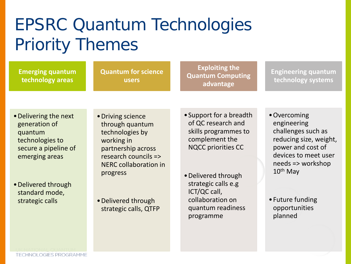# EPSRC Quantum Technologies Priority Themes

**Emerging quantum technology areas**

**Quantum for science users**

**Exploiting the Quantum Computing advantage**

**Engineering quantum technology systems**

- •Delivering the next generation of quantum technologies to secure a pipeline of emerging areas
- •Delivered through standard mode, strategic calls
- •Driving science through quantum technologies by working in partnership across research councils => NERC collaboration in progress
- •Delivered through strategic calls, QTFP
- •Support for a breadth of QC research and skills programmes to complement the NQCC priorities CC
- •Delivered through strategic calls e.g ICT/QC call, collaboration on quantum readiness programme
- •Overcoming engineering challenges such as reducing size, weight, power and cost of devices to meet user needs => workshop 10th May
- •Future funding opportunities planned

**TECHNOLOGIES PROGRAMME**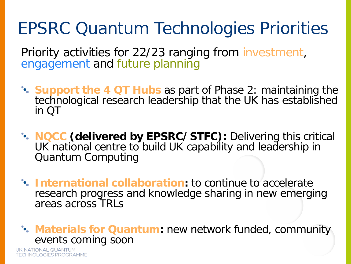# EPSRC Quantum Technologies Priorities

Priority activities for 22/23 ranging from investment, engagement and future planning

- **Support the 4 QT Hubs** as part of Phase 2: maintaining the technological research leadership that the UK has established in QT
- **NQCC (delivered by EPSRC/STFC):** Delivering this critical UK national centre to build UK capability and leadership in Quantum Computing
- **International collaboration:** to continue to accelerate research progress and knowledge sharing in new emerging areas across TRLs

**Materials for Quantum:** new network funded, community events coming soon

**UK NATIONAL QUANTUM TECHNOLOGIES PROGRAMME**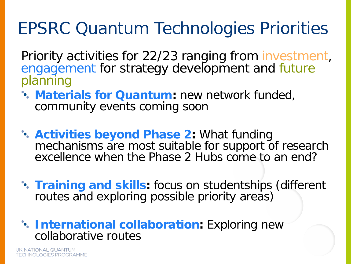# EPSRC Quantum Technologies Priorities

Priority activities for 22/23 ranging from investment, engagement for strategy development and future planning

- **Materials for Quantum:** new network funded, community events coming soon
- **Activities beyond Phase 2:** What funding mechanisms are most suitable for support of research excellence when the Phase 2 Hubs come to an end?
- **Training and skills:** focus on studentships (different routes and exploring possible priority areas)
- *International collaboration: Exploring new* collaborative routes

UK NATIONAL QUANTUM **TECHNOLOGIES PROGRAMME**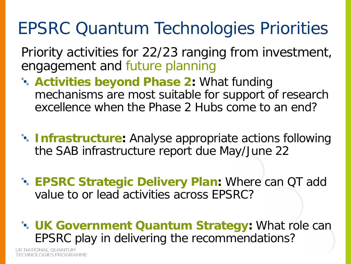# EPSRC Quantum Technologies Priorities

Priority activities for 22/23 ranging from investment, engagement and future planning

- **Activities beyond Phase 2: What funding** mechanisms are most suitable for support of research excellence when the Phase 2 Hubs come to an end?
- **Infrastructure:** Analyse appropriate actions following the SAB infrastructure report due May/June 22
- **EPSRC Strategic Delivery Plan:** Where can QT add value to or lead activities across EPSRC?
- **UK Government Quantum Strategy:** What role can EPSRC play in delivering the recommendations?

UK NATIONAL QUANTI **TECHNOLOGIES PROGRAMME**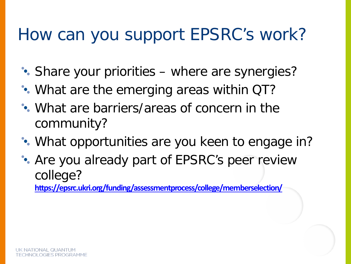### How can you support EPSRC's work?

- Share your priorities where are synergies?
- What are the emerging areas within QT?
- What are barriers/areas of concern in the community?
- What opportunities are you keen to engage in?
- Are you already part of EPSRC's peer review college?

**[https://epsrc.ukri.org/funding/assessmentprocess/college/memberselection/](https://eur01.safelinks.protection.outlook.com/?url=https%3A%2F%2Fepsrc.ukri.org%2Ffunding%2Fassessmentprocess%2Fcollege%2Fmemberselection%2F&data=04%7C01%7CAnke.Davis%40epsrc.ukri.org%7C5957f2814bfd46216a9e08d99dde2236%7C2dcfd016f9df488cb16b68345b59afb7%7C0%7C0%7C637714399643525278%7CUnknown%7CTWFpbGZsb3d8eyJWIjoiMC4wLjAwMDAiLCJQIjoiV2luMzIiLCJBTiI6Ik1haWwiLCJXVCI6Mn0%3D%7C1000&sdata=4AdJlym2oSbubh%2BPhr1yTFoJMvM5WWP7BVOJEwhFUy8%3D&reserved=0)**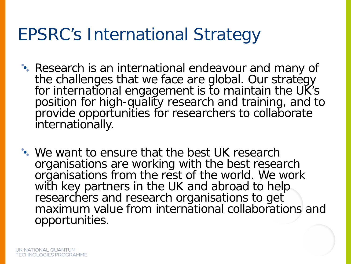#### EPSRC's International Strategy

- Research is an international endeavour and many of the challenges that we face are global. Our strategy for international engagement is to maintain the UK's position for high-quality research and training, and to provide opportunities for researchers to collaborate internationally.
- We want to ensure that the best UK research organisations are working with the best research organisations from the rest of the world. We work with key partners in the UK and abroad to help researchers and research organisations to get maximum value from international collaborations and opportunities.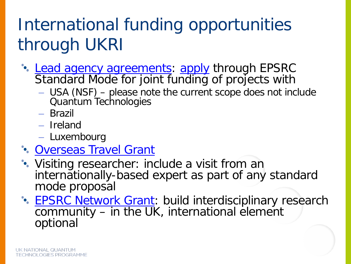# International funding opportunities through UKRI

- [Lead agency agreements](https://www.ukri.org/about-us/epsrc/relationships/international-agreements/lead-agency-agreement-with-the-nsf/): [apply](https://www.ukri.org/opportunity/epsrc-working-with-overseas-scientists/) through EPSRC Standard Mode for joint funding of projects with
	- USA (NSF) please note the current scope does not include Quantum Technologies
	- Brazil
	- Ireland
	- Luxembourg
- [Overseas Travel Grant](https://www.ukri.org/councils/epsrc/guidance-for-applicants/types-of-funding-we-offer/international-funding/overseas-travel-grants/)
- Visiting researcher: include a visit from an internationally-based expert as part of any standard mode proposal
- **[EPSRC Network Grant:](https://www.ukri.org/opportunity/epsrc-network-grant/) build interdisciplinary research** community – in the UK, international element optional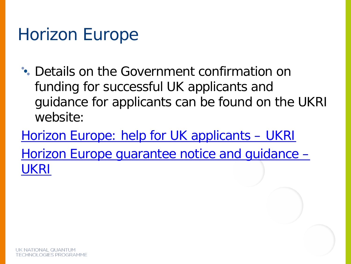## Horizon Europe

- Details on the Government confirmation on funding for successful UK applicants and guidance for applicants can be found on the UKRI website:
- [Horizon Europe: help for UK applicants –](https://www.ukri.org/apply-for-funding/horizon-europe/) UKRI [Horizon Europe guarantee notice and guidance –](https://www.ukri.org/publications/horizon-europe-guarantee-notice-and-guidance/) UKRI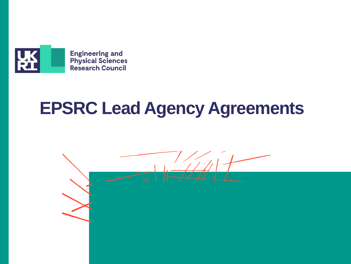

# **EPSRC Lead Agency Agreements**

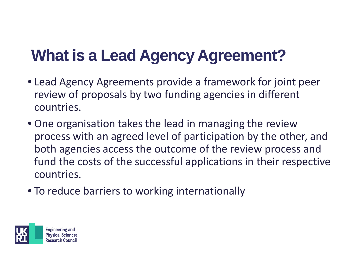# **What is a Lead Agency Agreement?**

- Lead Agency Agreements provide a framework for joint peer review of proposals by two funding agencies in different countries.
- One organisation takes the lead in managing the review process with an agreed level of participation by the other, and both agencies access the outcome of the review process and fund the costs of the successful applications in their respective countries.
- To reduce barriers to working internationally

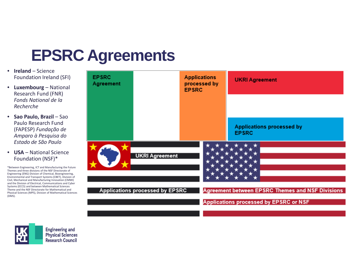#### **EPSRC Agreements**

- **Ireland**  Science Foundation Ireland (SFI)
- **Luxembourg** National Research Fund (FNR) *Fonds National de la Recherche*
- **Sao Paulo, Brazil**  Sao Paulo Research Fund (FAPESP) *Fundação de Amparo à Pesquisa do Estado de São Paulo*
- **USA** National Science Foundation (NSF)\*

\*Between Engineering, ICT and Manufacturing the Future Themes and three divisions of the NSF Directorate of Engineering (ENG) Division of Chemical, Bioengineering, Environmental and Transport Systems (CBET), Division of Civil, Mechanical and Manufacturing Innovation (CMMI) and the Division of Electrical, Communications and Cyber Systems (ECCS) and between Mathematical Sciences Theme and the NSF Directorate for Mathematical and Physical Sciences (MPS), Division of Mathematical Sciences (DMS).





**Engineering and Physical Sciences Research Council**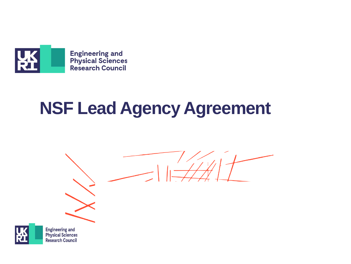

# **NSF Lead Agency Agreement**





**Engineering and Physical Sciences Research Council**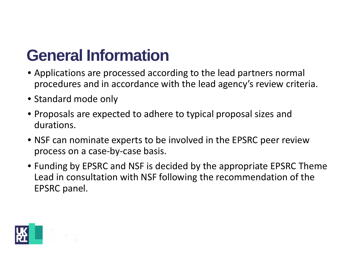### **General Information**

- Applications are processed according to the lead partners normal procedures and in accordance with the lead agency's review criteria.
- Standard mode only
- Proposals are expected to adhere to typical proposal sizes and durations.
- NSF can nominate experts to be involved in the EPSRC peer review process on a case-by-case basis.
- Funding by EPSRC and NSF is decided by the appropriate EPSRC Theme Lead in consultation with NSF following the recommendation of the EPSRC panel.

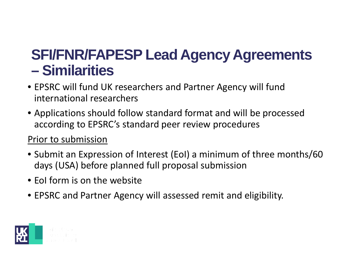#### **SFI/FNR/FAPESP Lead Agency Agreements – Similarities**

- EPSRC will fund UK researchers and Partner Agency will fund international researchers
- Applications should follow standard format and will be processed according to EPSRC's standard peer review procedures

#### Prior to submission

- Submit an Expression of Interest (EoI) a minimum of three months/60 days (USA) before planned full proposal submission
- EoI form is on the website
- EPSRC and Partner Agency will assessed remit and eligibility.

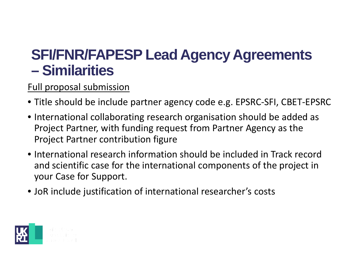#### **SFI/FNR/FAPESP Lead Agency Agreements – Similarities**

#### Full proposal submission

- Title should be include partner agency code e.g. EPSRC-SFI, CBET-EPSRC
- International collaborating research organisation should be added as Project Partner, with funding request from Partner Agency as the Project Partner contribution figure
- International research information should be included in Track record and scientific case for the international components of the project in your Case for Support.
- JoR include justification of international researcher's costs

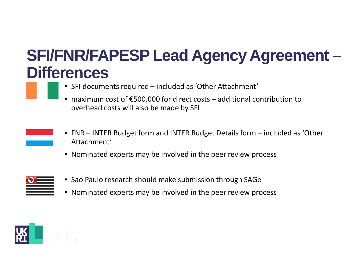#### **SFI/FNR/FAPESP Lead Agency Agreement – Differences**

- SFI documents required included as 'Other Attachment'
- maximum cost of  $\epsilon$ 500,000 for direct costs additional contribution to overhead costs will also be made by SFI
- FNR INTER Budget form and INTER Budget Details form included as 'Other Attachment'
- Nominated experts may be involved in the peer review process



- Sao Paulo research should make submission through SAGe
- Nominated experts may be involved in the peer review process

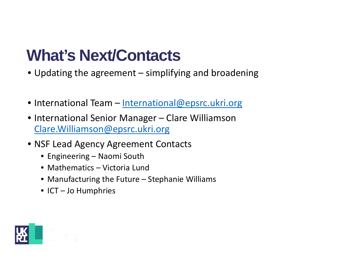#### **What's Next/Contacts**

- Updating the agreement simplifying and broadening
- International Team [International@epsrc.ukri.org](mailto:International@epsrc.ukri.org)
- International Senior Manager Clare Williamson [Clare.Williamson@epsrc.ukri.org](mailto:Clare.Williamson@epsrc.ukri.org)
- NSF Lead Agency Agreement Contacts
	- Engineering Naomi South
	- Mathematics Victoria Lund
	- Manufacturing the Future Stephanie Williams
	- ICT Jo Humphries

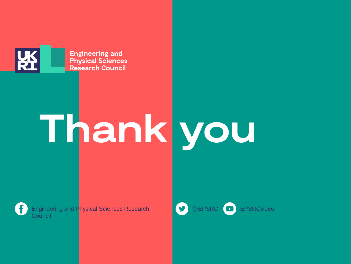

**Engineering and Physical Sciences Research Council** 

# Thank you